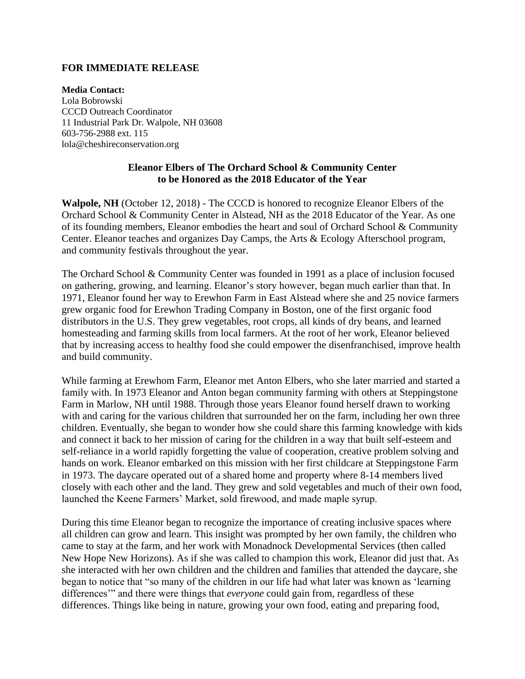## **FOR IMMEDIATE RELEASE**

**Media Contact:** Lola Bobrowski CCCD Outreach Coordinator 11 Industrial Park Dr. Walpole, NH 03608 603-756-2988 ext. 115 lola@cheshireconservation.org

## **Eleanor Elbers of The Orchard School & Community Center to be Honored as the 2018 Educator of the Year**

**Walpole, NH** (October 12, 2018) - The CCCD is honored to recognize Eleanor Elbers of the Orchard School & Community Center in Alstead, NH as the 2018 Educator of the Year. As one of its founding members, Eleanor embodies the heart and soul of Orchard School & Community Center. Eleanor teaches and organizes Day Camps, the Arts & Ecology Afterschool program, and community festivals throughout the year.

The Orchard School & Community Center was founded in 1991 as a place of inclusion focused on gathering, growing, and learning. Eleanor's story however, began much earlier than that. In 1971, Eleanor found her way to Erewhon Farm in East Alstead where she and 25 novice farmers grew organic food for Erewhon Trading Company in Boston, one of the first organic food distributors in the U.S. They grew vegetables, root crops, all kinds of dry beans, and learned homesteading and farming skills from local farmers. At the root of her work, Eleanor believed that by increasing access to healthy food she could empower the disenfranchised, improve health and build community.

While farming at Erewhom Farm, Eleanor met Anton Elbers, who she later married and started a family with. In 1973 Eleanor and Anton began community farming with others at Steppingstone Farm in Marlow, NH until 1988. Through those years Eleanor found herself drawn to working with and caring for the various children that surrounded her on the farm, including her own three children. Eventually, she began to wonder how she could share this farming knowledge with kids and connect it back to her mission of caring for the children in a way that built self-esteem and self-reliance in a world rapidly forgetting the value of cooperation, creative problem solving and hands on work. Eleanor embarked on this mission with her first childcare at Steppingstone Farm in 1973. The daycare operated out of a shared home and property where 8-14 members lived closely with each other and the land. They grew and sold vegetables and much of their own food, launched the Keene Farmers' Market, sold firewood, and made maple syrup.

During this time Eleanor began to recognize the importance of creating inclusive spaces where all children can grow and learn. This insight was prompted by her own family, the children who came to stay at the farm, and her work with Monadnock Developmental Services (then called New Hope New Horizons). As if she was called to champion this work, Eleanor did just that. As she interacted with her own children and the children and families that attended the daycare, she began to notice that "so many of the children in our life had what later was known as 'learning differences'" and there were things that *everyone* could gain from, regardless of these differences. Things like being in nature, growing your own food, eating and preparing food,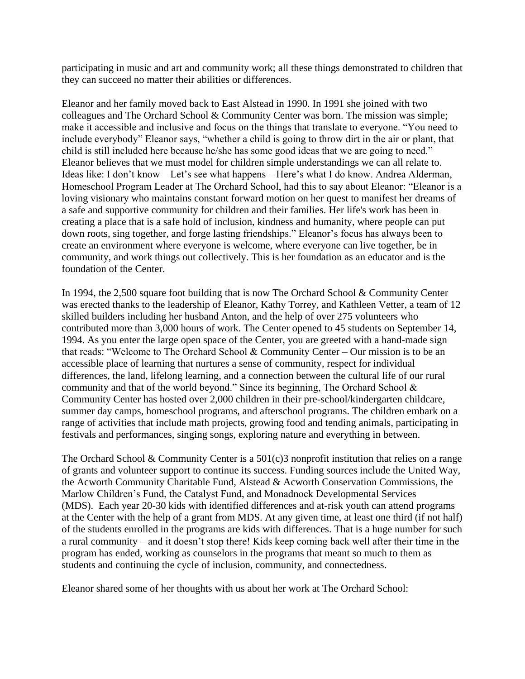participating in music and art and community work; all these things demonstrated to children that they can succeed no matter their abilities or differences.

Eleanor and her family moved back to East Alstead in 1990. In 1991 she joined with two colleagues and The Orchard School & Community Center was born. The mission was simple; make it accessible and inclusive and focus on the things that translate to everyone. "You need to include everybody" Eleanor says, "whether a child is going to throw dirt in the air or plant, that child is still included here because he/she has some good ideas that we are going to need." Eleanor believes that we must model for children simple understandings we can all relate to. Ideas like: I don't know – Let's see what happens – Here's what I do know. Andrea Alderman, Homeschool Program Leader at The Orchard School, had this to say about Eleanor: "Eleanor is a loving visionary who maintains constant forward motion on her quest to manifest her dreams of a safe and supportive community for children and their families. Her life's work has been in creating a place that is a safe hold of inclusion, kindness and humanity, where people can put down roots, sing together, and forge lasting friendships." Eleanor's focus has always been to create an environment where everyone is welcome, where everyone can live together, be in community, and work things out collectively. This is her foundation as an educator and is the foundation of the Center.

In 1994, the 2,500 square foot building that is now The Orchard School & Community Center was erected thanks to the leadership of Eleanor, Kathy Torrey, and Kathleen Vetter, a team of 12 skilled builders including her husband Anton, and the help of over 275 volunteers who contributed more than 3,000 hours of work. The Center opened to 45 students on September 14, 1994. As you enter the large open space of the Center, you are greeted with a hand-made sign that reads: "Welcome to The Orchard School & Community Center – Our mission is to be an accessible place of learning that nurtures a sense of community, respect for individual differences, the land, lifelong learning, and a connection between the cultural life of our rural community and that of the world beyond." Since its beginning, The Orchard School  $\&$ Community Center has hosted over 2,000 children in their pre-school/kindergarten childcare, summer day camps, homeschool programs, and afterschool programs. The children embark on a range of activities that include math projects, growing food and tending animals, participating in festivals and performances, singing songs, exploring nature and everything in between.

The Orchard School & Community Center is a  $501(c)3$  nonprofit institution that relies on a range of grants and volunteer support to continue its success. Funding sources include the United Way, the Acworth Community Charitable Fund, Alstead & Acworth Conservation Commissions, the Marlow Children's Fund, the Catalyst Fund, and Monadnock Developmental Services (MDS). Each year 20-30 kids with identified differences and at-risk youth can attend programs at the Center with the help of a grant from MDS. At any given time, at least one third (if not half) of the students enrolled in the programs are kids with differences. That is a huge number for such a rural community – and it doesn't stop there! Kids keep coming back well after their time in the program has ended, working as counselors in the programs that meant so much to them as students and continuing the cycle of inclusion, community, and connectedness.

Eleanor shared some of her thoughts with us about her work at The Orchard School: